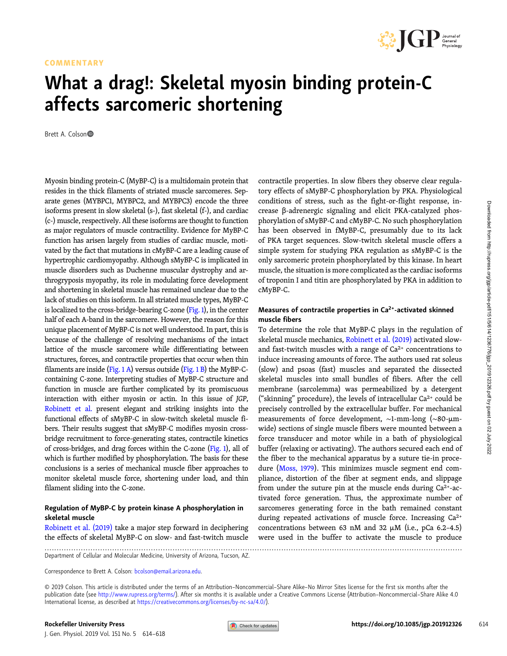#### COMMENTARY



# What a drag!: Skeletal myosin binding protein-C affects sarcomeric shortening

Brett A. Colson

Myosin binding protein-C (MyBP-C) is a multidomain protein that resides in the thick filaments of striated muscle sarcomeres. Separate genes (MYBPC1, MYBPC2, and MYBPC3) encode the three isoforms present in slow skeletal (s-), fast skeletal (f-), and cardiac (c-) muscle, respectively. All these isoforms are thought to function as major regulators of muscle contractility. Evidence for MyBP-C function has arisen largely from studies of cardiac muscle, motivated by the fact that mutations in cMyBP-C are a leading cause of hypertrophic cardiomyopathy. Although sMyBP-C is implicated in muscle disorders such as Duchenne muscular dystrophy and arthrogryposis myopathy, its role in modulating force development and shortening in skeletal muscle has remained unclear due to the lack of studies on this isoform. In all striated muscle types, MyBP-C is localized to the cross-bridge-bearing C-zone [\(Fig. 1](#page-1-0)), in the center half of each A-band in the sarcomere. However, the reason for this unique placement of MyBP-C is not well understood. In part, this is because of the challenge of resolving mechanisms of the intact lattice of the muscle sarcomere while differentiating between structures, forces, and contractile properties that occur when thin filaments are inside  $(Fig. 1 A)$  $(Fig. 1 A)$  $(Fig. 1 A)$  versus outside  $(Fig. 1 B)$  the MyBP-Ccontaining C-zone. Interpreting studies of MyBP-C structure and function in muscle are further complicated by its promiscuous interaction with either myosin or actin. In this issue of JGP, [Robinett et al.](https://doi.org/10.1085/jgp.201812200) present elegant and striking insights into the functional effects of sMyBP-C in slow-twitch skeletal muscle fibers. Their results suggest that sMyBP-C modifies myosin crossbridge recruitment to force-generating states, contractile kinetics of cross-bridges, and drag forces within the C-zone ([Fig. 1\)](#page-1-0), all of which is further modified by phosphorylation. The basis for these conclusions is a series of mechanical muscle fiber approaches to monitor skeletal muscle force, shortening under load, and thin filament sliding into the C-zone.

#### Regulation of MyBP-C by protein kinase A phosphorylation in skeletal muscle

[Robinett et al. \(2019\)](#page-4-0) take a major step forward in deciphering the effects of skeletal MyBP-C on slow- and fast-twitch muscle

contractile properties. In slow fibers they observe clear regulatory effects of sMyBP-C phosphorylation by PKA. Physiological conditions of stress, such as the fight-or-flight response, increase β-adrenergic signaling and elicit PKA-catalyzed phosphorylation of sMyBP-C and cMyBP-C. No such phosphorylation has been observed in fMyBP-C, presumably due to its lack of PKA target sequences. Slow-twitch skeletal muscle offers a simple system for studying PKA regulation as sMyBP-C is the only sarcomeric protein phosphorylated by this kinase. In heart muscle, the situation is more complicated as the cardiac isoforms of troponin I and titin are phosphorylated by PKA in addition to cMyBP-C.

### Measures of contractile properties in Ca<sup>2+</sup>-activated skinned muscle fibers

To determine the role that MyBP-C plays in the regulation of skeletal muscle mechanics, [Robinett et al. \(2019\)](#page-4-0) activated slowand fast-twitch muscles with a range of  $Ca<sup>2+</sup>$  concentrations to induce increasing amounts of force. The authors used rat soleus (slow) and psoas (fast) muscles and separated the dissected skeletal muscles into small bundles of fibers. After the cell membrane (sarcolemma) was permeabilized by a detergent ("skinning" procedure), the levels of intracellular  $Ca^{2+}$  could be precisely controlled by the extracellular buffer. For mechanical measurements of force development, ∼1-mm-long (∼80-µmwide) sections of single muscle fibers were mounted between a force transducer and motor while in a bath of physiological buffer (relaxing or activating). The authors secured each end of the fiber to the mechanical apparatus by a suture tie-in procedure ([Moss, 1979\)](#page-4-0). This minimizes muscle segment end compliance, distortion of the fiber at segment ends, and slippage from under the suture pin at the muscle ends during  $Ca^{2+}$ -activated force generation. Thus, the approximate number of sarcomeres generating force in the bath remained constant during repeated activations of muscle force. Increasing  $Ca^{2+}$ concentrations between 63 nM and 32 µM (i.e., pCa 6.2–4.5) were used in the buffer to activate the muscle to produce

............................................................................................................................................................................. Department of Cellular and Molecular Medicine, University of Arizona, Tucson, AZ.

Correspondence to Brett A. Colson: [bcolson@email.arizona.edu](mailto:bcolson@email.arizona.edu).

© 2019 Colson. This article is distributed under the terms of an Attribution–Noncommercial–Share Alike–No Mirror Sites license for the first six months after the publication date (see [http://www.rupress.org/terms/\)](http://www.rupress.org/terms/). After six months it is available under a Creative Commons License (Attribution-Noncommercial-Share Alike 4.0 International license, as described at <https://creativecommons.org/licenses/by-nc-sa/4.0/>).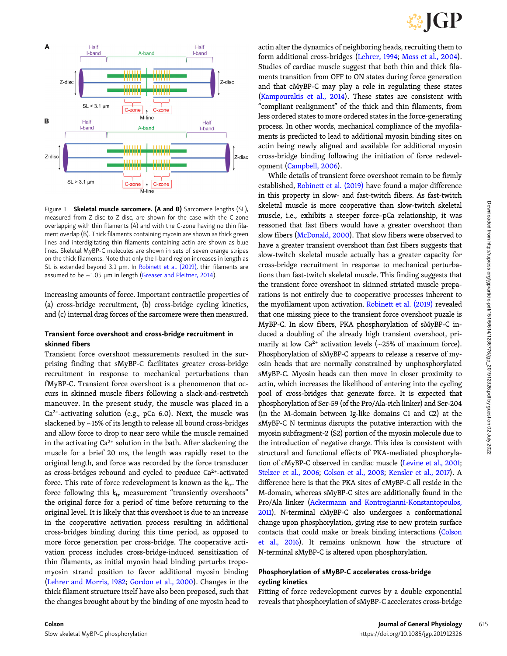<span id="page-1-0"></span>

Figure 1. Skeletal muscle sarcomere. (A and B) Sarcomere lengths (SL), measured from Z-disc to Z-disc, are shown for the case with the C-zone overlapping with thin filaments (A) and with the C-zone having no thin filament overlap (B). Thick filaments containing myosin are shown as thick green lines and interdigitating thin filaments containing actin are shown as blue lines. Skeletal MyBP-C molecules are shown in sets of seven orange stripes on the thick filaments. Note that only the I-band region increases in length as SL is extended beyond 3.1  $\mu$ m. In [Robinett et al. \(2019\)](#page-4-0), thin filaments are assumed to be ∼1.05 µm in length [\(Greaser and Pleitner, 2014\)](#page-3-0).

increasing amounts of force. Important contractile properties of (a) cross-bridge recruitment, (b) cross-bridge cycling kinetics, and (c) internal drag forces of the sarcomere were then measured.

#### Transient force overshoot and cross-bridge recruitment in skinned fibers

Transient force overshoot measurements resulted in the surprising finding that sMyBP-C facilitates greater cross-bridge recruitment in response to mechanical perturbations than fMyBP-C. Transient force overshoot is a phenomenon that occurs in skinned muscle fibers following a slack-and-restretch maneuver. In the present study, the muscle was placed in a  $Ca<sup>2+</sup>$ -activating solution (e.g., pCa 6.0). Next, the muscle was slackened by ∼15% of its length to release all bound cross-bridges and allow force to drop to near zero while the muscle remained in the activating  $Ca^{2+}$  solution in the bath. After slackening the muscle for a brief 20 ms, the length was rapidly reset to the original length, and force was recorded by the force transducer as cross-bridges rebound and cycled to produce Ca<sup>2+</sup>-activated force. This rate of force redevelopment is known as the  $k_{tr}$ . The force following this  $k_{tr}$  measurement "transiently overshoots" the original force for a period of time before returning to the original level. It is likely that this overshoot is due to an increase in the cooperative activation process resulting in additional cross-bridges binding during this time period, as opposed to more force generation per cross-bridge. The cooperative activation process includes cross-bridge-induced sensitization of thin filaments, as initial myosin head binding perturbs tropomyosin strand position to favor additional myosin binding [\(Lehrer and Morris, 1982;](#page-4-0) [Gordon et al., 2000](#page-3-0)). Changes in the thick filament structure itself have also been proposed, such that the changes brought about by the binding of one myosin head to

actin alter the dynamics of neighboring heads, recruiting them to form additional cross-bridges [\(Lehrer, 1994](#page-4-0); [Moss et al., 2004\)](#page-4-0). Studies of cardiac muscle suggest that both thin and thick filaments transition from OFF to ON states during force generation and that cMyBP-C may play a role in regulating these states [\(Kampourakis et al., 2014](#page-3-0)). These states are consistent with "compliant realignment" of the thick and thin filaments, from less ordered states to more ordered states in the force-generating process. In other words, mechanical compliance of the myofilaments is predicted to lead to additional myosin binding sites on actin being newly aligned and available for additional myosin cross-bridge binding following the initiation of force redevelopment [\(Campbell, 2006\)](#page-3-0).

While details of transient force overshoot remain to be firmly established, [Robinett et al. \(2019\)](#page-4-0) have found a major difference in this property in slow- and fast-twitch fibers. As fast-twitch skeletal muscle is more cooperative than slow-twitch skeletal muscle, i.e., exhibits a steeper force–pCa relationship, it was reasoned that fast fibers would have a greater overshoot than slow fibers ([McDonald, 2000](#page-4-0)). That slow fibers were observed to have a greater transient overshoot than fast fibers suggests that slow-twitch skeletal muscle actually has a greater capacity for cross-bridge recruitment in response to mechanical perturbations than fast-twitch skeletal muscle. This finding suggests that the transient force overshoot in skinned striated muscle preparations is not entirely due to cooperative processes inherent to the myofilament upon activation. [Robinett et al. \(2019\)](#page-4-0) revealed that one missing piece to the transient force overshoot puzzle is MyBP-C. In slow fibers, PKA phosphorylation of sMyBP-C induced a doubling of the already high transient overshoot, primarily at low Ca<sup>2+</sup> activation levels (~25% of maximum force). Phosphorylation of sMyBP-C appears to release a reserve of myosin heads that are normally constrained by unphosphorylated sMyBP-C. Myosin heads can then move in closer proximity to actin, which increases the likelihood of entering into the cycling pool of cross-bridges that generate force. It is expected that phosphorylation of Ser-59 (of the Pro/Ala-rich linker) and Ser-204 (in the M-domain between Ig-like domains C1 and C2) at the sMyBP-C N terminus disrupts the putative interaction with the myosin subfragment-2 (S2) portion of the myosin molecule due to the introduction of negative charge. This idea is consistent with structural and functional effects of PKA-mediated phosphorylation of cMyBP-C observed in cardiac muscle [\(Levine et al., 2001;](#page-4-0) [Stelzer et al., 2006;](#page-4-0) [Colson et al., 2008](#page-3-0); [Kensler et al., 2017](#page-4-0)). A difference here is that the PKA sites of cMyBP-C all reside in the M-domain, whereas sMyBP-C sites are additionally found in the Pro/Ala linker ([Ackermann and Kontrogianni-Konstantopoulos,](#page-3-0) [2011\)](#page-3-0). N-terminal cMyBP-C also undergoes a conformational change upon phosphorylation, giving rise to new protein surface contacts that could make or break binding interactions [\(Colson](#page-3-0) [et al., 2016](#page-3-0)). It remains unknown how the structure of N-terminal sMyBP-C is altered upon phosphorylation.

#### Phosphorylation of sMyBP-C accelerates cross-bridge cycling kinetics

Fitting of force redevelopment curves by a double exponential reveals that phosphorylation of sMyBP-C accelerates cross-bridge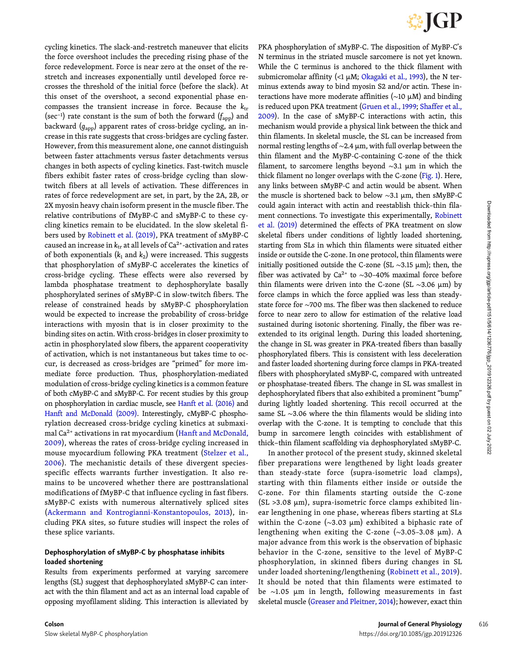

cycling kinetics. The slack-and-restretch maneuver that elicits the force overshoot includes the preceding rising phase of the force redevelopment. Force is near zero at the onset of the restretch and increases exponentially until developed force recrosses the threshold of the initial force (before the slack). At this onset of the overshoot, a second exponential phase encompasses the transient increase in force. Because the  $k_{\text{tr}}$ (sec<sup>-1</sup>) rate constant is the sum of both the forward (f<sub>app</sub>) and backward  $(g_{app})$  apparent rates of cross-bridge cycling, an increase in this rate suggests that cross-bridges are cycling faster. However, from this measurement alone, one cannot distinguish between faster attachments versus faster detachments versus changes in both aspects of cycling kinetics. Fast-twitch muscle fibers exhibit faster rates of cross-bridge cycling than slowtwitch fibers at all levels of activation. These differences in rates of force redevelopment are set, in part, by the 2A, 2B, or 2X myosin heavy chain isoform present in the muscle fiber. The relative contributions of fMyBP-C and sMyBP-C to these cycling kinetics remain to be elucidated. In the slow skeletal fibers used by [Robinett et al. \(2019\)](#page-4-0), PKA treatment of sMyBP-C caused an increase in  $k_{\text{tr}}$  at all levels of Ca<sup>2+</sup>-activation and rates of both exponentials ( $k_1$  and  $k_2$ ) were increased. This suggests that phosphorylation of sMyBP-C accelerates the kinetics of cross-bridge cycling. These effects were also reversed by lambda phosphatase treatment to dephosphorylate basally phosphorylated serines of sMyBP-C in slow-twitch fibers. The release of constrained heads by sMyBP-C phosphorylation would be expected to increase the probability of cross-bridge interactions with myosin that is in closer proximity to the binding sites on actin. With cross-bridges in closer proximity to actin in phosphorylated slow fibers, the apparent cooperativity of activation, which is not instantaneous but takes time to occur, is decreased as cross-bridges are "primed" for more immediate force production. Thus, phosphorylation-mediated modulation of cross-bridge cycling kinetics is a common feature of both cMyBP-C and sMyBP-C. For recent studies by this group on phosphorylation in cardiac muscle, see [Hanft et al. \(2016\)](#page-3-0) and [Hanft and McDonald \(2009\)](#page-3-0). Interestingly, cMyBP-C phosphorylation decreased cross-bridge cycling kinetics at submaximal Ca2+ activations in rat myocardium [\(Hanft and McDonald,](#page-3-0) [2009](#page-3-0)), whereas the rates of cross-bridge cycling increased in mouse myocardium following PKA treatment ([Stelzer et al.,](#page-4-0) [2006](#page-4-0)). The mechanistic details of these divergent speciesspecific effects warrants further investigation. It also remains to be uncovered whether there are posttranslational modifications of fMyBP-C that influence cycling in fast fibers. sMyBP-C exists with numerous alternatively spliced sites [\(Ackermann and Kontrogianni-Konstantopoulos, 2013\)](#page-3-0), including PKA sites, so future studies will inspect the roles of these splice variants.

#### Dephosphorylation of sMyBP-C by phosphatase inhibits loaded shortening

Results from experiments performed at varying sarcomere lengths (SL) suggest that dephosphorylated sMyBP-C can interact with the thin filament and act as an internal load capable of opposing myofilament sliding. This interaction is alleviated by

N terminus in the striated muscle sarcomere is not yet known. While the C terminus is anchored to the thick filament with submicromolar affinity (<1  $\mu$ M; [Okagaki et al., 1993](#page-4-0)), the N terminus extends away to bind myosin S2 and/or actin. These interactions have more moderate affinities (∼10 µM) and binding is reduced upon PKA treatment [\(Gruen et al., 1999;](#page-3-0) [Shaffer et al.,](#page-4-0) [2009\)](#page-4-0). In the case of sMyBP-C interactions with actin, this mechanism would provide a physical link between the thick and thin filaments. In skeletal muscle, the SL can be increased from normal resting lengths of ∼2.4 µm, with full overlap between the thin filament and the MyBP-C-containing C-zone of the thick filament, to sarcomere lengths beyond ∼3.1 µm in which the thick filament no longer overlaps with the C-zone [\(Fig. 1](#page-1-0)). Here, any links between sMyBP-C and actin would be absent. When the muscle is shortened back to below ∼3.1 µm, then sMyBP-C could again interact with actin and reestablish thick–thin filament connections. To investigate this experimentally, [Robinett](#page-4-0) [et al. \(2019\)](#page-4-0) determined the effects of PKA treatment on slow skeletal fibers under conditions of lightly loaded shortening, starting from SLs in which thin filaments were situated either inside or outside the C-zone. In one protocol, thin filaments were initially positioned outside the C-zone (SL ∼3.15 µm); then, the fiber was activated by Ca<sup>2+</sup> to ~30–40% maximal force before thin filaments were driven into the C-zone (SL ∼3.06 µm) by force clamps in which the force applied was less than steadystate force for ∼700 ms. The fiber was then slackened to reduce force to near zero to allow for estimation of the relative load sustained during isotonic shortening. Finally, the fiber was reextended to its original length. During this loaded shortening, the change in SL was greater in PKA-treated fibers than basally phosphorylated fibers. This is consistent with less deceleration and faster loaded shortening during force clamps in PKA-treated fibers with phosphorylated sMyBP-C, compared with untreated or phosphatase-treated fibers. The change in SL was smallest in dephosphorylated fibers that also exhibited a prominent "bump" during lightly loaded shortening. This recoil occurred at the same SL ∼3.06 where the thin filaments would be sliding into overlap with the C-zone. It is tempting to conclude that this bump in sarcomere length coincides with establishment of thick−thin filament scaffolding via dephosphorylated sMyBP-C.

PKA phosphorylation of sMyBP-C. The disposition of MyBP-C's

In another protocol of the present study, skinned skeletal fiber preparations were lengthened by light loads greater than steady-state force (supra-isometric load clamps), starting with thin filaments either inside or outside the C-zone. For thin filaments starting outside the C-zone  $(SL > 3.08 \mu m)$ , supra-isometric force clamps exhibited linear lengthening in one phase, whereas fibers starting at SLs within the C-zone (∼3.03 µm) exhibited a biphasic rate of lengthening when exiting the C-zone (∼3.05–3.08 µm). A major advance from this work is the observation of biphasic behavior in the C-zone, sensitive to the level of MyBP-C phosphorylation, in skinned fibers during changes in SL under loaded shortening/lengthening ([Robinett et al., 2019](#page-4-0)). It should be noted that thin filaments were estimated to be ∼1.05 µm in length, following measurements in fast skeletal muscle [\(Greaser and Pleitner, 2014\)](#page-3-0); however, exact thin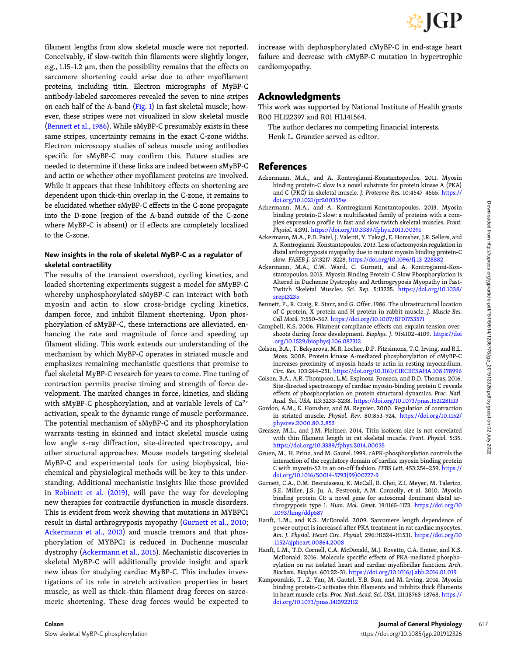<span id="page-3-0"></span>filament lengths from slow skeletal muscle were not reported. Conceivably, if slow-twitch thin filaments were slightly longer, e.g., 1.15–1.2 µm, then the possibility remains that the effects on sarcomere shortening could arise due to other myofilament proteins, including titin. Electron micrographs of MyBP-C antibody-labeled sarcomeres revealed the seven to nine stripes on each half of the A-band [\(Fig. 1](#page-1-0)) in fast skeletal muscle; however, these stripes were not visualized in slow skeletal muscle (Bennett et al., 1986). While sMyBP-C presumably exists in these same stripes, uncertainty remains in the exact C-zone widths. Electron microscopy studies of soleus muscle using antibodies specific for sMyBP-C may confirm this. Future studies are needed to determine if these links are indeed between sMyBP-C and actin or whether other myofilament proteins are involved. While it appears that these inhibitory effects on shortening are dependent upon thick-thin overlap in the C-zone, it remains to be elucidated whether sMyBP-C effects in the C-zone propagate into the D-zone (region of the A-band outside of the C-zone where MyBP-C is absent) or if effects are completely localized to the C-zone.

#### New insights in the role of skeletal MyBP-C as a regulator of skeletal contractility

The results of the transient overshoot, cycling kinetics, and loaded shortening experiments suggest a model for sMyBP-C whereby unphosphorylated sMyBP-C can interact with both myosin and actin to slow cross-bridge cycling kinetics, dampen force, and inhibit filament shortening. Upon phosphorylation of sMyBP-C, these interactions are alleviated, enhancing the rate and magnitude of force and speeding up filament sliding. This work extends our understanding of the mechanism by which MyBP-C operates in striated muscle and emphasizes remaining mechanistic questions that promise to fuel skeletal MyBP-C research for years to come. Fine tuning of contraction permits precise timing and strength of force development. The marked changes in force, kinetics, and sliding with sMyBP-C phosphorylation, and at variable levels of Ca2+ activation, speak to the dynamic range of muscle performance. The potential mechanism of sMyBP-C and its phosphorylation warrants testing in skinned and intact skeletal muscle using low angle x-ray diffraction, site-directed spectroscopy, and other structural approaches. Mouse models targeting skeletal MyBP-C and experimental tools for using biophysical, biochemical and physiological methods will be key to this understanding. Additional mechanistic insights like those provided in [Robinett et al. \(2019\)](#page-4-0), will pave the way for developing new therapies for contractile dysfunction in muscle disorders. This is evident from work showing that mutations in MYBPC1 result in distal arthrogryposis myopathy (Gurnett et al., 2010; Ackermann et al., 2013) and muscle tremors and that phosphorylation of MYBPC1 is reduced in Duchenne muscular dystrophy (Ackermann et al., 2015). Mechanistic discoveries in skeletal MyBP-C will additionally provide insight and spark new ideas for studying cardiac MyBP-C. This includes investigations of its role in stretch activation properties in heart muscle, as well as thick–thin filament drag forces on sarcomeric shortening. These drag forces would be expected to

increase with dephosphorylated cMyBP-C in end-stage heart failure and decrease with cMyBP-C mutation in hypertrophic cardiomyopathy.

# Acknowledgments

This work was supported by National Institute of Health grants R00 HL122397 and R01 HL141564.

The author declares no competing financial interests.

Henk L. Granzier served as editor.

## References

- Ackermann, M.A., and A. Kontrogianni-Konstantopoulos. 2011. Myosin binding protein-C slow is a novel substrate for protein kinase A (PKA) and C (PKC) in skeletal muscle. J. Proteome Res. 10:4547–4555. [https://](https://doi.org/10.1021/pr200355w) [doi.org/10.1021/pr200355w](https://doi.org/10.1021/pr200355w)
- Ackermann, M.A., and A. Kontrogianni-Konstantopoulos. 2013. Myosin binding protein-C slow: a multifaceted family of proteins with a complex expression profile in fast and slow twitch skeletal muscles. Front. Physiol. 4:391. <https://doi.org/10.3389/fphys.2013.00391>
- Ackermann, M.A., P.D. Patel, J. Valenti, Y. Takagi, E. Homsher, J.R. Sellers, and A. Kontrogianni-Konstantopoulos. 2013. Loss of actomyosin regulation in distal arthrogryposis myopathy due to mutant myosin binding protein-C slow. FASEB J. 27:3217–3228. <https://doi.org/10.1096/fj.13-228882>
- Ackermann, M.A., C.W. Ward, C. Gurnett, and A. Kontrogianni-Konstantopoulos. 2015. Myosin Binding Protein-C Slow Phosphorylation is Altered in Duchenne Dystrophy and Arthrogryposis Myopathy in Fast-Twitch Skeletal Muscles. Sci. Rep. 5:13235. [https://doi.org/10.1038/](https://doi.org/10.1038/srep13235) [srep13235](https://doi.org/10.1038/srep13235)
- Bennett, P., R. Craig, R. Starr, and G. Offer. 1986. The ultrastructural location of C-protein, X-protein and H-protein in rabbit muscle. J. Muscle Res. Cell Motil. 7:550–567. <https://doi.org/10.1007/BF01753571>
- Campbell, K.S. 2006. Filament compliance effects can explain tension overshoots during force development. Biophys. J. 91:4102-4109. [https://doi](https://doi.org/10.1529/biophysj.106.087312) [.org/10.1529/biophysj.106.087312](https://doi.org/10.1529/biophysj.106.087312)
- Colson, B.A., T. Bekyarova, M.R. Locher, D.P. Fitzsimons, T.C. Irving, and R.L. Moss. 2008. Protein kinase A-mediated phosphorylation of cMyBP-C increases proximity of myosin heads to actin in resting myocardium. Circ. Res. 103:244–251. <https://doi.org/10.1161/CIRCRESAHA.108.178996>
- Colson, B.A., A.R. Thompson, L.M. Espinoza-Fonseca, and D.D. Thomas. 2016. Site-directed spectroscopy of cardiac myosin-binding protein C reveals effects of phosphorylation on protein structural dynamics. Proc. Natl. Acad. Sci. USA. 113:3233–3238. <https://doi.org/10.1073/pnas.1521281113>
- Gordon, A.M., E. Homsher, and M. Regnier. 2000. Regulation of contraction in striated muscle. Physiol. Rev. 80:853–924. [https://doi.org/10.1152/](https://doi.org/10.1152/physrev.2000.80.2.853) [physrev.2000.80.2.853](https://doi.org/10.1152/physrev.2000.80.2.853)
- Greaser, M.L., and J.M. Pleitner. 2014. Titin isoform size is not correlated with thin filament length in rat skeletal muscle. Front. Physiol. 5:35. <https://doi.org/10.3389/fphys.2014.00035>
- Gruen, M., H. Prinz, and M. Gautel. 1999. cAPK-phosphorylation controls the interaction of the regulatory domain of cardiac myosin binding protein C with myosin-S2 in an on-off fashion. FEBS Lett. 453:254–259. [https://](https://doi.org/10.1016/S0014-5793(99)00727-9) [doi.org/10.1016/S0014-5793\(99\)00727-9](https://doi.org/10.1016/S0014-5793(99)00727-9)
- Gurnett, C.A., D.M. Desruisseau, K. McCall, R. Choi, Z.I. Meyer, M. Talerico, S.E. Miller, J.S. Ju, A. Pestronk, A.M. Connolly, et al. 2010. Myosin binding protein C1: a novel gene for autosomal dominant distal arthrogryposis type 1. Hum. Mol. Genet. 19:1165–1173. [https://doi.org/10](https://doi.org/10.1093/hmg/ddp587) [.1093/hmg/ddp587](https://doi.org/10.1093/hmg/ddp587)
- Hanft, L.M., and K.S. McDonald. 2009. Sarcomere length dependence of power output is increased after PKA treatment in rat cardiac myocytes. Am. J. Physiol. Heart Circ. Physiol. 296:H1524–H1531. [https://doi.org/10](https://doi.org/10.1152/ajpheart.00864.2008) [.1152/ajpheart.00864.2008](https://doi.org/10.1152/ajpheart.00864.2008)
- Hanft, L.M., T.D. Cornell, C.A. McDonald, M.J. Rovetto, C.A. Emter, and K.S. McDonald. 2016. Molecule specific effects of PKA-mediated phosphorylation on rat isolated heart and cardiac myofibrillar function. Arch. Biochem. Biophys. 601:22–31. <https://doi.org/10.1016/j.abb.2016.01.019>
- Kampourakis, T., Z. Yan, M. Gautel, Y.B. Sun, and M. Irving. 2014. Myosin binding protein-C activates thin filaments and inhibits thick filaments in heart muscle cells. Proc. Natl. Acad. Sci. USA. 111:18763–18768. [https://](https://doi.org/10.1073/pnas.1413922112) [doi.org/10.1073/pnas.1413922112](https://doi.org/10.1073/pnas.1413922112)